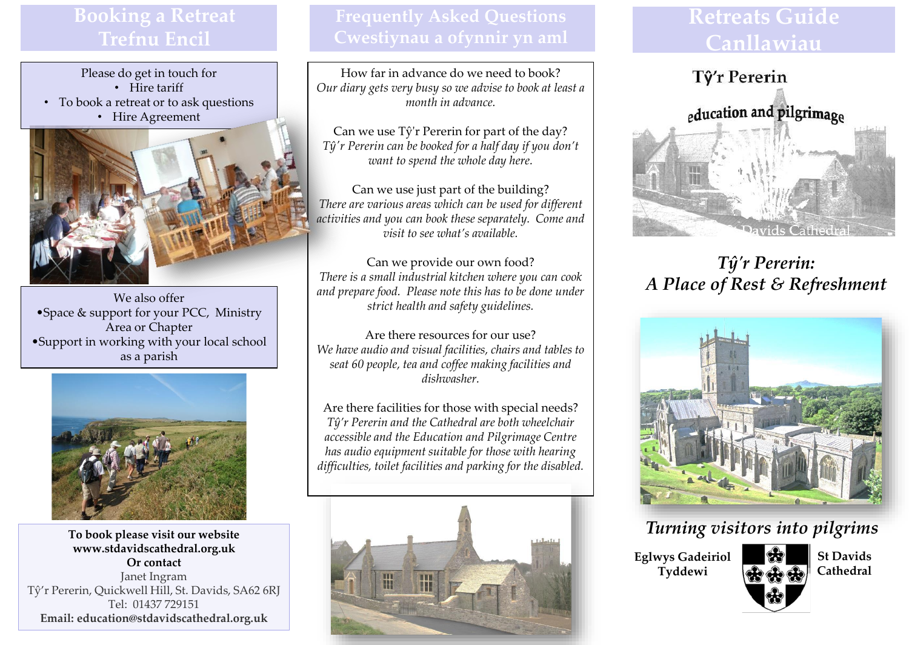# **Booking a Retreat Trefnu Encil**

Please do get in touch for • Hire tariff

- To book a retreat or to ask questions
	- Hire Agreement



We also offer •Space & support for your PCC, Ministry Area or Chapter •Support in working with your local school as a parish



**To book please visit our website www.stdavidscathedral.org.uk Or contact** Janet Ingram Tŷ'r Pererin, Quickwell Hill, St. Davids, SA62 6RJ Tel: 01437 729151 **Email: education@stdavidscathedral.org.uk** 

How far in advance do we need to book? *Our diary gets very busy so we advise to book at least a month in advance.*

Can we use Tŷ'r Pererin for part of the day? *Tŷ'r Pererin can be booked for a half day if you don't want to spend the whole day here.*

Can we use just part of the building? *There are various areas which can be used for different activities and you can book these separately. Come and visit to see what's available.*

Can we provide our own food? *There is a small industrial kitchen where you can cook and prepare food. Please note this has to be done under strict health and safety guidelines.* 

Are there resources for our use? *We have audio and visual facilities, chairs and tables to seat 60 people, tea and coffee making facilities and dishwasher.*

Are there facilities for those with special needs? *Tŷ'r Pererin and the Cathedral are both wheelchair accessible and the Education and Pilgrimage Centre has audio equipment suitable for those with hearing difficulties, toilet facilities and parking for the disabled.* 



# **Retreats Guide Canllawiau**



*Tŷ'r Pererin: A Place of Rest & Refreshment*



## *Turning visitors into pilgrims*

**Eglwys Gadeiriol Tyddewi**